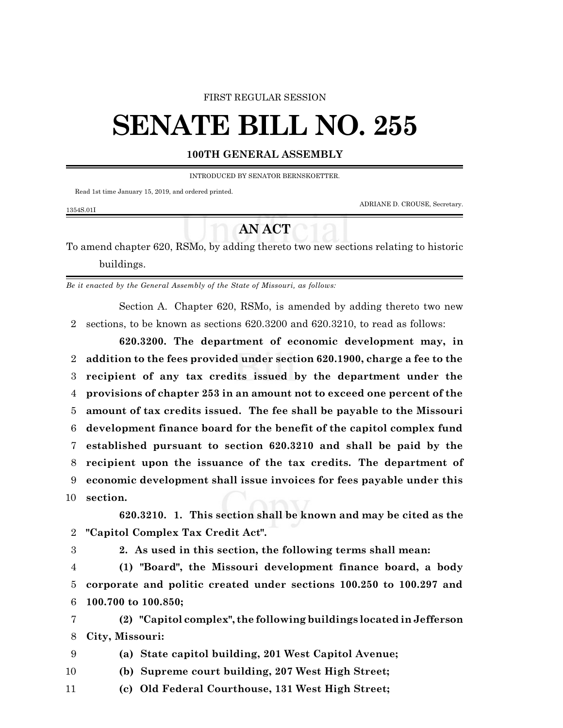#### FIRST REGULAR SESSION

# **SENATE BILL NO. 255**

### **100TH GENERAL ASSEMBLY**

INTRODUCED BY SENATOR BERNSKOETTER.

Read 1st time January 15, 2019, and ordered printed.

ADRIANE D. CROUSE, Secretary.

## 1354S.01I

## **AN ACT**

To amend chapter 620, RSMo, by adding thereto two new sections relating to historic buildings.

*Be it enacted by the General Assembly of the State of Missouri, as follows:*

Section A. Chapter 620, RSMo, is amended by adding thereto two new 2 sections, to be known as sections 620.3200 and 620.3210, to read as follows:

**620.3200. The department of economic development may, in addition to the fees provided under section 620.1900, charge a fee to the recipient of any tax credits issued by the department under the provisions of chapter 253 in an amount not to exceed one percent of the amount of tax credits issued. The fee shall be payable to the Missouri development finance board for the benefit of the capitol complex fund established pursuant to section 620.3210 and shall be paid by the recipient upon the issuance of the tax credits. The department of economic development shall issue invoices for fees payable under this** 10 **section.**

**620.3210. 1. This section shall be known and may be cited as the** 2 **"Capitol Complex Tax Credit Act".**

3 **2. As used in this section, the following terms shall mean:**

4 **(1) "Board", the Missouri development finance board, a body** 5 **corporate and politic created under sections 100.250 to 100.297 and** 6 **100.700 to 100.850;**

7 **(2) "Capitol complex", the following buildings located in Jefferson** 8 **City, Missouri:**

9 **(a) State capitol building, 201 West Capitol Avenue;**

10 **(b) Supreme court building, 207 West High Street;**

11 **(c) Old Federal Courthouse, 131 West High Street;**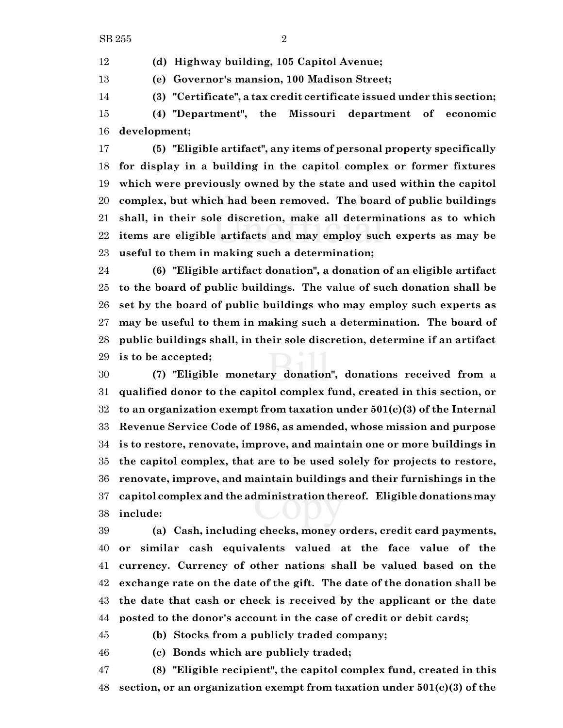**(d) Highway building, 105 Capitol Avenue;**

**(e) Governor's mansion, 100 Madison Street;**

**(3) "Certificate", a tax credit certificate issued under this section;**

 **(4) "Department", the Missouri department of economic development;**

 **(5) "Eligible artifact", any items of personal property specifically for display in a building in the capitol complex or former fixtures which were previously owned by the state and used within the capitol complex, but which had been removed. The board of public buildings shall, in their sole discretion, make all determinations as to which items are eligible artifacts and may employ such experts as may be useful to them in making such a determination;**

 **(6) "Eligible artifact donation", a donation of an eligible artifact to the board of public buildings. The value of such donation shall be set by the board of public buildings who may employ such experts as may be useful to them in making such a determination. The board of public buildings shall, in their sole discretion, determine if an artifact is to be accepted;**

 **(7) "Eligible monetary donation", donations received from a qualified donor to the capitol complex fund, created in this section, or to an organization exempt from taxation under 501(c)(3) of the Internal Revenue Service Code of 1986, as amended, whose mission and purpose is to restore, renovate, improve, and maintain one or more buildings in the capitol complex, that are to be used solely for projects to restore, renovate, improve, and maintain buildings and their furnishings in the capitol complex and the administration thereof. Eligible donations may include:**

 **(a) Cash, including checks, money orders, credit card payments, or similar cash equivalents valued at the face value of the currency. Currency of other nations shall be valued based on the exchange rate on the date of the gift. The date of the donation shall be the date that cash or check is received by the applicant or the date posted to the donor's account in the case of credit or debit cards;**

**(b) Stocks from a publicly traded company;**

**(c) Bonds which are publicly traded;**

 **(8) "Eligible recipient", the capitol complex fund, created in this section, or an organization exempt from taxation under 501(c)(3) of the**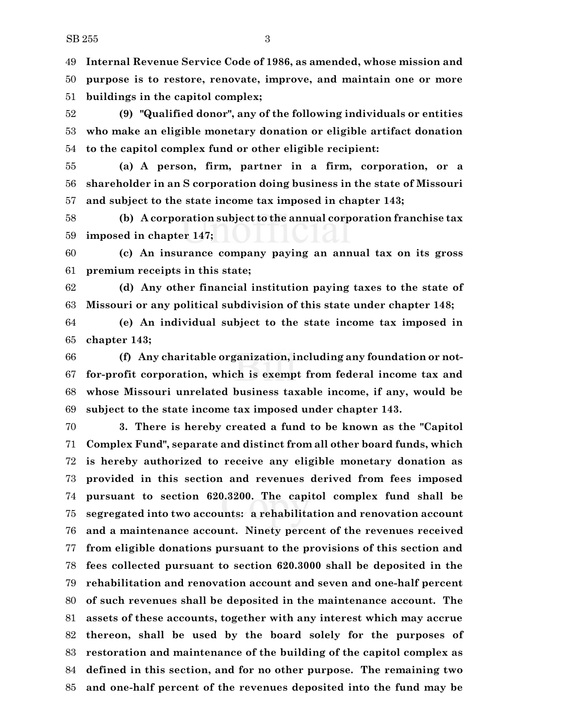**Internal Revenue Service Code of 1986, as amended, whose mission and purpose is to restore, renovate, improve, and maintain one or more buildings in the capitol complex;**

 **(9) "Qualified donor", any of the following individuals or entities who make an eligible monetary donation or eligible artifact donation to the capitol complex fund or other eligible recipient:**

 **(a) A person, firm, partner in a firm, corporation, or a shareholder in an S corporation doing business in the state of Missouri and subject to the state income tax imposed in chapter 143;**

 **(b) A corporation subject to the annual corporation franchise tax imposed in chapter 147;**

 **(c) An insurance company paying an annual tax on its gross premium receipts in this state;**

 **(d) Any other financial institution paying taxes to the state of Missouri or any political subdivision of this state under chapter 148;**

 **(e) An individual subject to the state income tax imposed in chapter 143;**

 **(f) Any charitable organization, including any foundation or not- for-profit corporation, which is exempt from federal income tax and whose Missouri unrelated business taxable income, if any, would be subject to the state income tax imposed under chapter 143.**

 **3. There is hereby created a fund to be known as the "Capitol Complex Fund", separate and distinct from all other board funds, which is hereby authorized to receive any eligible monetary donation as provided in this section and revenues derived from fees imposed pursuant to section 620.3200. The capitol complex fund shall be segregated into two accounts: a rehabilitation and renovation account and a maintenance account. Ninety percent of the revenues received from eligible donations pursuant to the provisions of this section and fees collected pursuant to section 620.3000 shall be deposited in the rehabilitation and renovation account and seven and one-half percent of such revenues shall be deposited in the maintenance account. The assets of these accounts, together with any interest which may accrue thereon, shall be used by the board solely for the purposes of restoration and maintenance of the building of the capitol complex as defined in this section, and for no other purpose. The remaining two and one-half percent of the revenues deposited into the fund may be**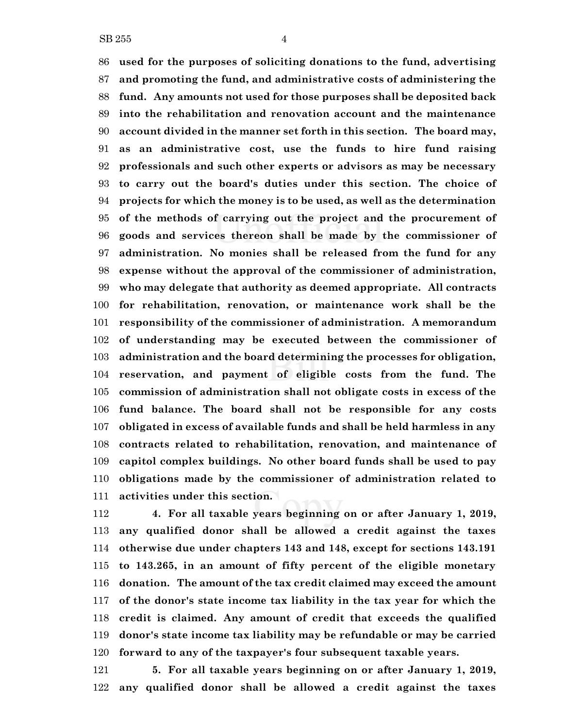**used for the purposes of soliciting donations to the fund, advertising and promoting the fund, and administrative costs of administering the fund. Any amounts not used for those purposes shall be deposited back into the rehabilitation and renovation account and the maintenance account divided in the manner set forth in this section. The board may, as an administrative cost, use the funds to hire fund raising professionals and such other experts or advisors as may be necessary to carry out the board's duties under this section. The choice of projects for which the money is to be used, as well as the determination of the methods of carrying out the project and the procurement of goods and services thereon shall be made by the commissioner of administration. No monies shall be released from the fund for any expense without the approval of the commissioner of administration, who may delegate that authority as deemed appropriate. All contracts for rehabilitation, renovation, or maintenance work shall be the responsibility of the commissioner of administration. A memorandum of understanding may be executed between the commissioner of administration and the board determining the processes for obligation, reservation, and payment of eligible costs from the fund. The commission of administration shall not obligate costs in excess of the fund balance. The board shall not be responsible for any costs obligated in excess of available funds and shall be held harmless in any contracts related to rehabilitation, renovation, and maintenance of capitol complex buildings. No other board funds shall be used to pay obligations made by the commissioner of administration related to activities under this section.**

 **4. For all taxable years beginning on or after January 1, 2019, any qualified donor shall be allowed a credit against the taxes otherwise due under chapters 143 and 148, except for sections 143.191 to 143.265, in an amount of fifty percent of the eligible monetary donation. The amount of the tax credit claimed may exceed the amount of the donor's state income tax liability in the tax year for which the credit is claimed. Any amount of credit that exceeds the qualified donor's state income tax liability may be refundable or may be carried forward to any of the taxpayer's four subsequent taxable years.**

 **5. For all taxable years beginning on or after January 1, 2019, any qualified donor shall be allowed a credit against the taxes**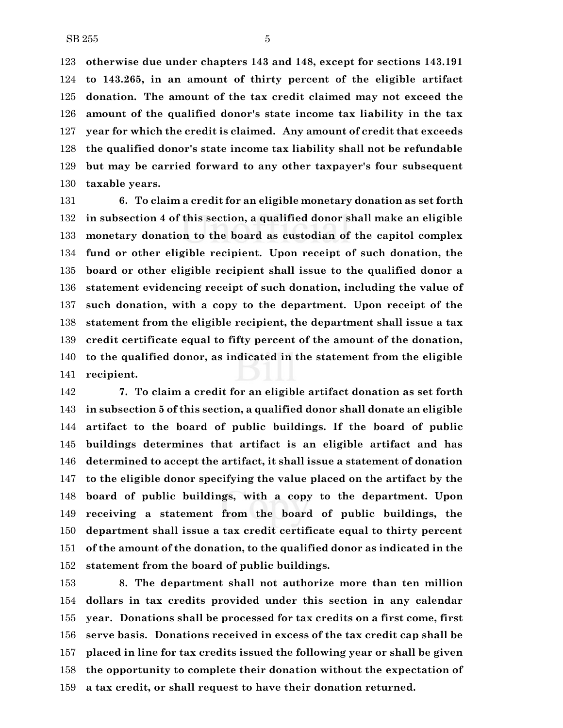**otherwise due under chapters 143 and 148, except for sections 143.191 to 143.265, in an amount of thirty percent of the eligible artifact donation. The amount of the tax credit claimed may not exceed the amount of the qualified donor's state income tax liability in the tax year for which the credit is claimed. Any amount of credit that exceeds the qualified donor's state income tax liability shall not be refundable but may be carried forward to any other taxpayer's four subsequent taxable years.**

 **6. To claim a credit for an eligible monetary donation as set forth in subsection 4 of this section, a qualified donor shall make an eligible monetary donation to the board as custodian of the capitol complex fund or other eligible recipient. Upon receipt of such donation, the board or other eligible recipient shall issue to the qualified donor a statement evidencing receipt of such donation, including the value of such donation, with a copy to the department. Upon receipt of the statement from the eligible recipient, the department shall issue a tax credit certificate equal to fifty percent of the amount of the donation, to the qualified donor, as indicated in the statement from the eligible recipient.**

 **7. To claim a credit for an eligible artifact donation as set forth in subsection 5 of this section, a qualified donor shall donate an eligible artifact to the board of public buildings. If the board of public buildings determines that artifact is an eligible artifact and has determined to accept the artifact, it shall issue a statement of donation to the eligible donor specifying the value placed on the artifact by the board of public buildings, with a copy to the department. Upon receiving a statement from the board of public buildings, the department shall issue a tax credit certificate equal to thirty percent of the amount of the donation, to the qualified donor as indicated in the statement from the board of public buildings.**

 **8. The department shall not authorize more than ten million dollars in tax credits provided under this section in any calendar year. Donations shall be processed for tax credits on a first come, first serve basis. Donations received in excess of the tax credit cap shall be placed in line for tax credits issued the following year or shall be given the opportunity to complete their donation without the expectation of a tax credit, or shall request to have their donation returned.**